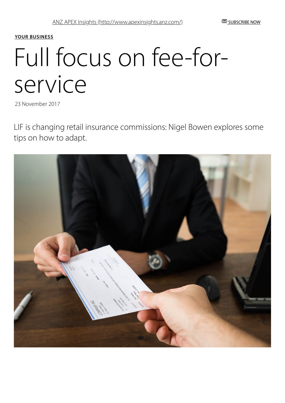#### YOUR [BUSINESS](http://www.apexinsights.anz.com/your-business)

# Full focus on fee-forservice

23 November 2017

LIF is changing retail insurance commissions: Nigel Bowen explores some tips on how to adapt.

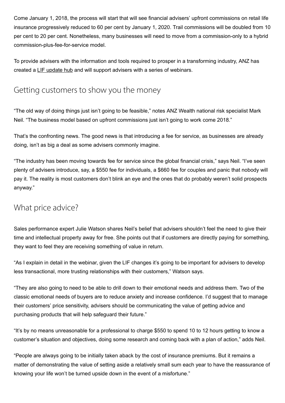Come January 1, 2018, the process will start that will see financial advisers' upfront commissions on retail life insurance progressively reduced to 60 per cent by January 1, 2020. Trail commissions will be doubled from 10 per cent to 20 per cent. Nonetheless, many businesses will need to move from a commission-only to a hybrid commission-plus-fee-for-service model.

To provide advisers with the information and tools required to prosper in a transforming industry, ANZ has created a [LIF update hub](https://www.wealth.anz.com/powering-you-through-change) and will support advisers with a series of webinars.

## Getting customers to show you the money

"The old way of doing things just isn't going to be feasible," notes ANZ Wealth national risk specialist Mark Neil. "The business model based on upfront commissions just isn't going to work come 2018."

That's the confronting news. The good news is that introducing a fee for service, as businesses are already doing, isn't as big a deal as some advisers commonly imagine.

"The industry has been moving towards fee for service since the global financial crisis," says Neil. "I've seen plenty of advisers introduce, say, a \$550 fee for individuals, a \$660 fee for couples and panic that nobody will pay it. The reality is most customers don't blink an eye and the ones that do probably weren't solid prospects anyway."

#### What price advice?

Sales performance expert Julie Watson shares Neil's belief that advisers shouldn't feel the need to give their time and intellectual property away for free. She points out that if customers are directly paying for something, they want to feel they are receiving something of value in return.

"As I explain in detail in the webinar, given the LIF changes it's going to be important for advisers to develop less transactional, more trusting relationships with their customers," Watson says.

"They are also going to need to be able to drill down to their emotional needs and address them. Two of the classic emotional needs of buyers are to reduce anxiety and increase confidence. I'd suggest that to manage their customers' price sensitivity, advisers should be communicating the value of getting advice and purchasing products that will help safeguard their future."

"It's by no means unreasonable for a professional to charge \$550 to spend 10 to 12 hours getting to know a customer's situation and objectives, doing some research and coming back with a plan of action," adds Neil.

"People are always going to be initially taken aback by the cost of insurance premiums. But it remains a matter of demonstrating the value of setting aside a relatively small sum each year to have the reassurance of knowing your life won't be turned upside down in the event of a misfortune."